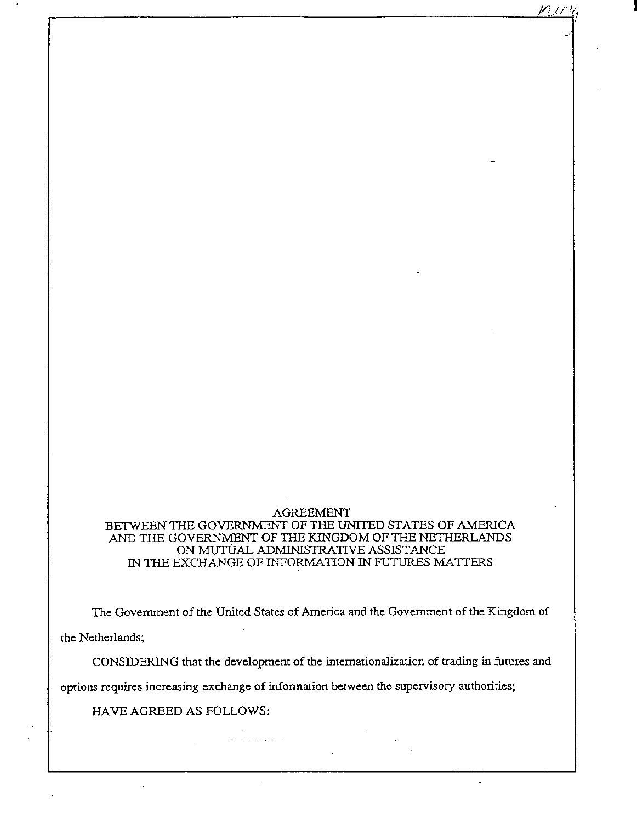## AGREEMENT BETWEEN THE GOVERNMENT OF THE UNITED STATES OF AMERICA AND THE GOVERNMENT OF THE KINGDOM OF THE NETHERLANDS ON MUTUAL ADMINISTRATIVE ASSISTANCE IN THE EXCHANGE OF INFORMATION IN FUTURES MA TIERS

r------------------------------------------------------------~~~~c~\_/~1~

I

**The Government of the United States of America and the Government of the Kingdom of** 

**the Netherlands;** 

**CONSIDERING that the development of the internationalization of trading in futures and** 

**options requires increasing exchange of information between the supervisory authorities;** 

والمتعلق والتماو

HAVE AGREED AS FOLLOWS: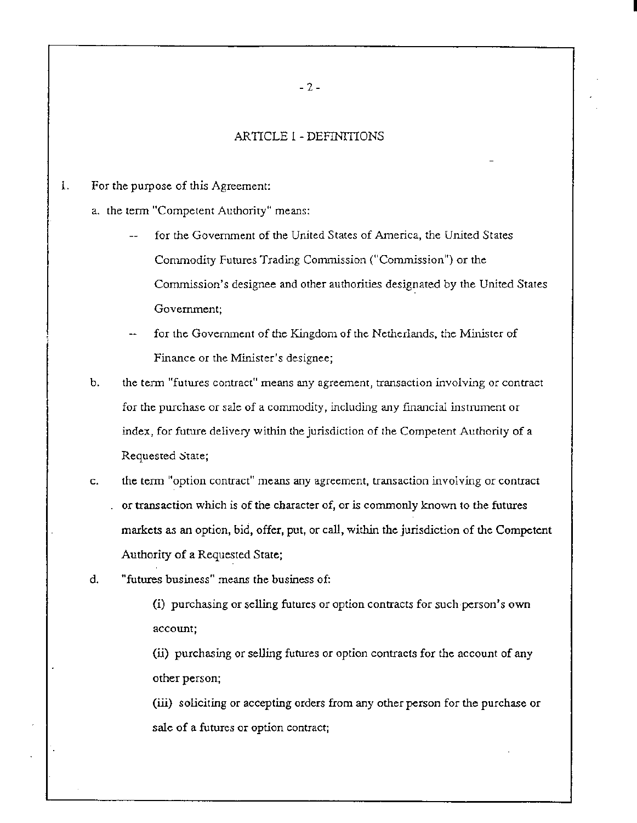## ARTICLE 1- DEFINTTIONS

- 1. For the purpose of this Agreement:
	- a. the term "Competent Authority" means:
		- for the Government of the United States of America, the United States Commodity Futures Trading Commission ("Commission") or the Commission's designee and other authorities designated by the United States Government;
		- for the Government of the Kingdom of the Netherlands, the Minister of Finance or the Minister's designee;
	- b. the term "futures contract" means any agreement, transaction involving or contract for the purchase or sale of a commodity, including any financial instrument or index, for future delivery within the jurisdiction of the Competent Authority of a Requested State;
	- c. the term "option contract" means any agreement, transaction involving or contract or transaction which is of the character of, or is commonly known to the futures markets as an option, bid, offer, put, or call, within the jurisdiction of the Competent Authority of a Requested State;
	- d. "futures business" means the business of:

(i) purchasing or selling futures or option contracts for such person's own account;

(ii) purchasing or selling futtues or option contracts for the account of any other person;

(iii) soliciting or accepting orders from any other person for the purchase or sale of a futures or option contract;

- 2 -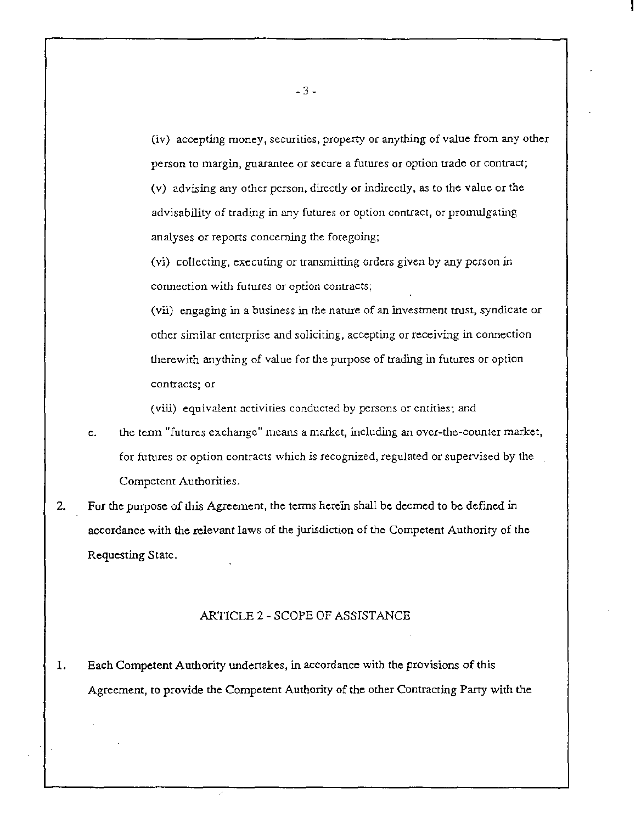(iv) accepting money, securities, property or anything of value from any other person to margin, guarantee or secure a futures or option trade or contract; (v) advising any other person, directly or indirectly, as to the value or the advisability of trading in any futures or option contract, or promulgating analyses or reports concerning the foregoing;

(vi) collecting, executing or transmitting orders given by any person in connection with futures or option contracts;

(vii) engaging in a business in the nature of an investment trust, syndicate or other similar enterprise and soliciting, accepting or receiving in connection therewith anything of value for the purpose of trading in futures or option contracts; or

(viii) equivalent activities conducted by persons or entities; and

- e. the term "futures exchange" means a market, including an over-the-counter market, for futures or option contracts which is recognized, regulated or supervised by the Competent Authorities.
- 2. For the purpose of this Agreement, the terms herein shall be deemed to be defined in accordance with the relevant laws of the jurisdiction of the Competent Authority of the Requesting State.

## ARTICLE 2- SCOPE OF ASSISTANCE

1. Each Competent Authority undertakes, in accordance with the provisions of this Agreement, to provide the Competent Authority of the other Contracting Party with the

- 3 -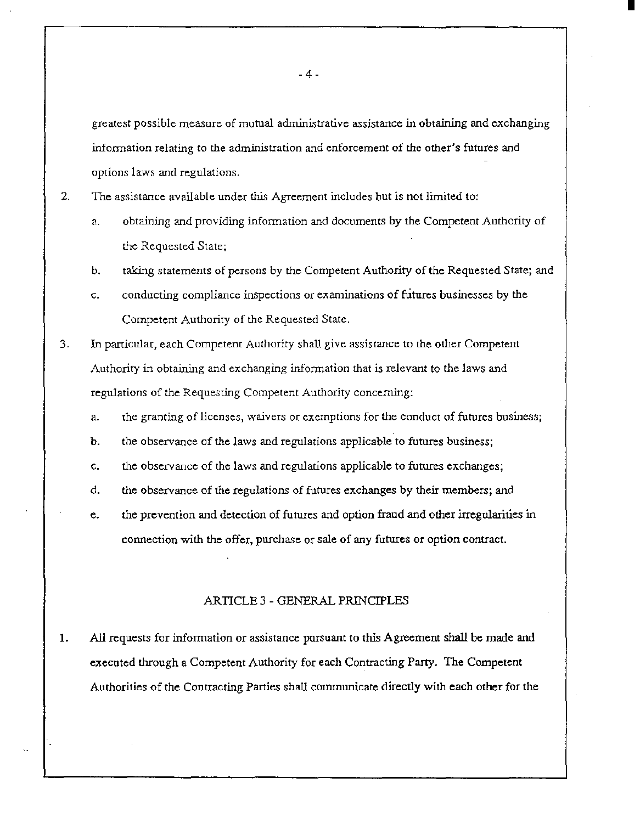greatest possible measure of mutual administrative assistance in obtaining and exchanging information relating to the administration and enforcement of the other's futures and options laws and regulations.

2. The assistance available under this Agreement includes but is not limited to:

- a. obtaining and providing information and docwnents by the Competent Authority of the Requested State;
- b. taking statements of persons by the Competent Authority of the Requested State; and
- c. conducting compliance inspections or examinations of futures businesses by the Competent Authority of the Requested State.
- 3. In particular, each Competent Authority shall give assistance to the other Competent Authority in obtaining and exchanging information that is relevant to the laws and regulations of the Requesting Competent Authority concerning:
	- a. the granting of licenses, waivers or exemptions for the conduct of futures business;
	- b. the observance of the laws and regulations applicable to futures business;
	- c. the observance of the laws and regulations applicable to futures exchanges;
	- d. the observance of the regulations of futures exchanges by their members; and
	- e. the prevention and detection of futures and option fraud and other irregularities in connection with the offer, purchase or sale of any futures or option contract.

### ARTICLE 3 - GENERAL PRJNCIPLES

1. All requests for information or assistance pursuant to this Agreement shall be made and executed through a Competent Authority for each Contracting Party. The Competent Authorities of the Contracting Parties shall communicate directly with each other for the

-4-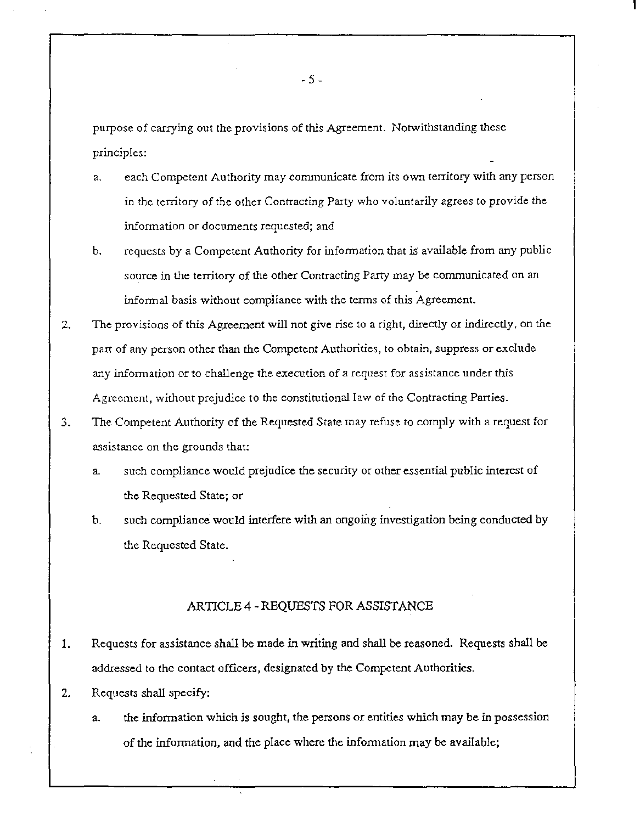purpose of carrying out the provisions of this Agreement. Notwithstanding these principles:

- a. each Competent Authority may communicate from its own territory with any person in the territory of the other Contracting Party who voluntarily agrees to provide the information or docwnents requested; and
- b. requests by a Competent Authority for information that is available from any public source in the territory of the other Contracting Party may be communicated on an informal basis without compliance with the terms of this Agreement.
- 2. The provisions of this Agreement will not give rise to a right, directly or indirectly, on the part of any person other than the Competent Authorities, to obtain, suppress or exclude any information or to challenge the execution of a request for assistance under this Agreement, without prejudice to the constitutional law of the Contracting Panies.
- 3. The Competent Authority of the Requested State may refuse to comply with a request for assistance on the grounds that:
	- a. such compliance would prejudice the security or other essential public interest of the Requested State; or
	- b. such compliance would interfere with an ongoing investigation being conducted by the Requested State.

### ARTICLE 4- REQUESTS FOR ASSISTANCE

- 1. Requests for assistance shall be made in writing and shall be reasoned. Requests shall be addressed to the contact officers, designated by the Competent Authorities.
- 2. Requests shall specify:
	- a. the information which is sought, the persons or entities which may be in possession of the information, and the place where the information may be available;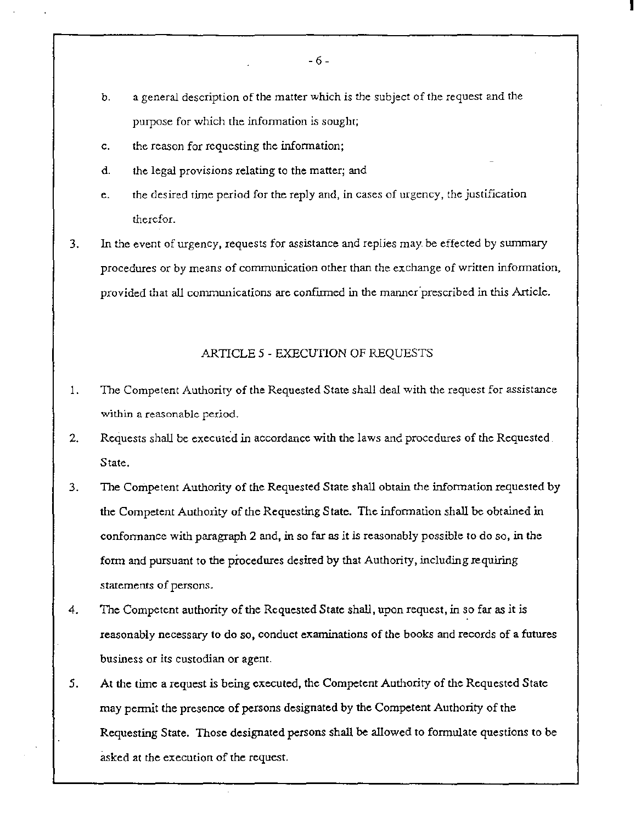- b. a general description of the matter which is the subject of the request and the purpose for which the information is sought;
- c. the reason for requesting the information;
- d. the legal provisions relating to the matter; and
- e. the desired time period for the reply and, in cases of urgency, the justification therefor.
- 3. In the event of urgency, requests for assistance and replies may. be effected by swnmary procedures or by means of communication other than the exchange of written information, provided that all communications are confirmed in the manner prescribed in this Article.

### ARTICLE *5* - EXECUTION OF REQUESTS

- 1. The Competent Authority of the Requested State shall deal with the request for assistance within a reasonable period.
- 2. Requests shall be executed in accordance with the laws and procedures of the Requested. State.
- 3. The Competent Authority of the Requested State shall obtain the information requested by the Competent Authority of the Requesting State. The information shall be obtained in conformance with paragraph 2 and, in so far as *it* is reasonably possible to do so, *in* the form and pursuant to the pfocedures desired by that Authority, including requiring statements of persons.
- 4. The Competent authority of the Requested State shall, upon request, in so far as it is reasonably necessary to do so, conduct examinations of the books and records of a futures business or its custodian or agent.
- *5.* At the time a request is being executed, the Competent Authority of the Requested State may permit the presence of persons designated by the Competent Authority of the Requesting State. Those designated persons shall be allowed to formulate questions to be asked at the execution of the request.

- 6-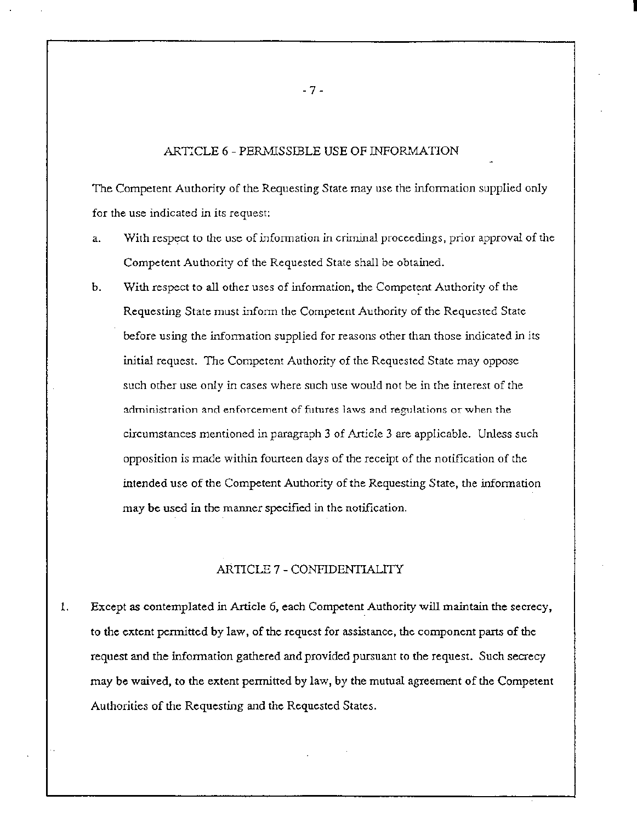#### ARTICLE 6 - PERMISSIBLE USE OF INFORMATION

The Competent Authority of the Requesting State may use the information supplied only for the use indicated in its request:

- a. With respect to the use of information in criminal proceedings, prior approval of the Competent Authority of the Requested State shall be obtained.
- b. With respect to all other uses of information, the Competent Authority of the Requesting State must inform the Competent Authority of the Requested State before using the information supplied for reasons other than those indicated in its initial request. The Competent Authority of the Requested State may oppose such other use only in cases where such use would not be in the interest of the administration and enforcement of futures laws and regulations or when the circumstances mentioned in paragraph 3 of Article 3 are applicable. Unless such opposition is made within fourteen days of the receipt of the notification of the intended use of the Competent Authority of the Requesting Stare, the information may be used in the manner specified in the notification.

# ARTICLE 7 -CONFIDENTIALITY

1. Except as contemplated in Article 6, each Competent Authority will maintain the secrecy, to the extent permitted by law, of the request for assistance, the component parts of the request and the information gathered and provided pursuant to the request. Such secrecy may be waived, to the extent permitted by law, by the mutual agreement of the Competent Authorities of the Requesting and the Requested States.

- 7-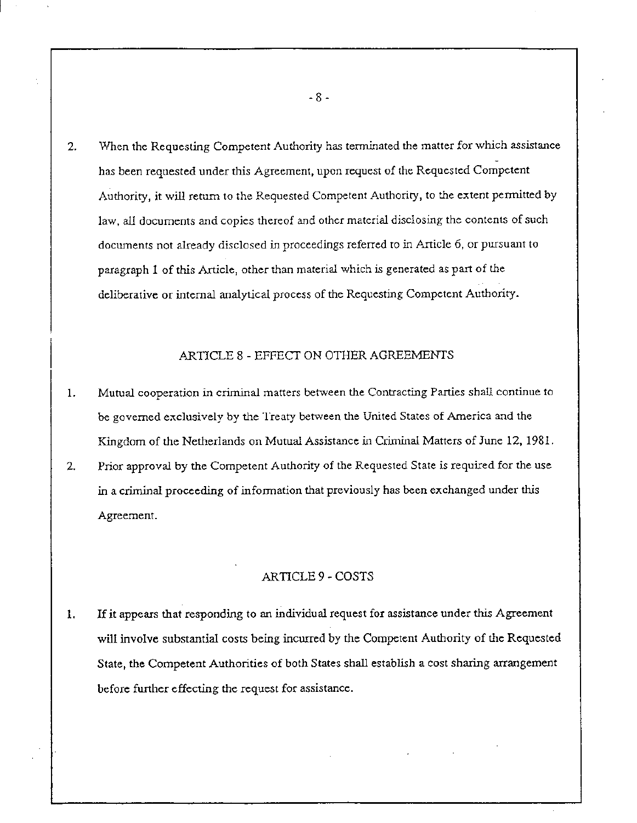2. When the Requesting Competent Authority has terminated the matter for which assistance has been requested under this Agreement, upon request of the Requested Competent Authority, it will return to the Requested Competent Authority, to the extent permitted by law, all documents and copies thereof and other material disclosing the contents of such documents not already disclosed in proceedings referred to in Article 6, or pursuant to paragraph 1 of this Article, other than material which is generated as part of the deliberative or internal analytical process of the Requesting Competent Authority.

## ARTICLE 8 - EFFECT ON OTHER AGREEMENTS

- 1. Mutual cooperation in criminal matters between the Contracting Parties shall continue to be governed exclusively by the Treaty between the United States of America and the Kingdom of the Netherlands on Mutual Assistance in Criminal Matters of June 12, 1981.
- 2. Prior approval by the Competent Authority of the Requested State is required for the use in a criminal proceeding of information that previously has been exchanged under this Agreement.

### ARTICLE 9- COSTS

1. If it appears that responding to an individual request for assistance under this Agreement will involve substantial costs being incurred by the Competent Authority of the Requested State, the Competent Authorities of both States shall establish a cost sharing arrangement before further effecting the request for assistance.

- 8 -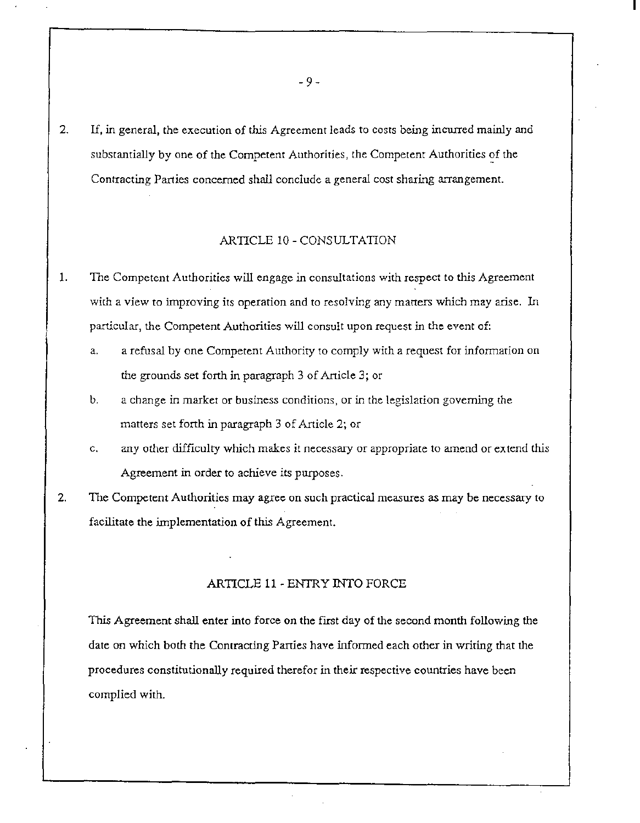2. If, in general, the execution of *this* Agreement leads to costs being incurred mainly and substantially by one of the Competent Authorities, the Competent Authorities of the Contracting Parties concerned shall conclude a general cost sharing arrangement.

### ARTICLE 10- CONSULTATION

- 1. The Competent Authorities will engage in consultations with respect to this Agreement with a view to improving its operation and to resolving any matters which may arise. In particular, the Competent Authorities will consult upon request in the event of:
	- a. a refusal by one Competent Authority to comply with a request for information on the grounds set forth in paragraph 3 of Article 3; or
	- b. a change in market or business conditions, or in the legislation governing the matters set forth in paragraph 3 of Article 2; or
	- c. any other difficulty which makes it necessary or appropriate to amend or extend this Agreement in order to achieve its purposes.
- 2. The Competent Authorities may agree on such practical measures as may be necessary to facilitate the implementation of this Agreement.

### ARTICLE 11- ENTRY INTO FORCE

This Agreement shall enter into force on the first day of the second month following the date on which both the Contracting Panies have informed each other in writing that the procedures constitutionally required therefor in their respective countries have been complied with.

- 9-